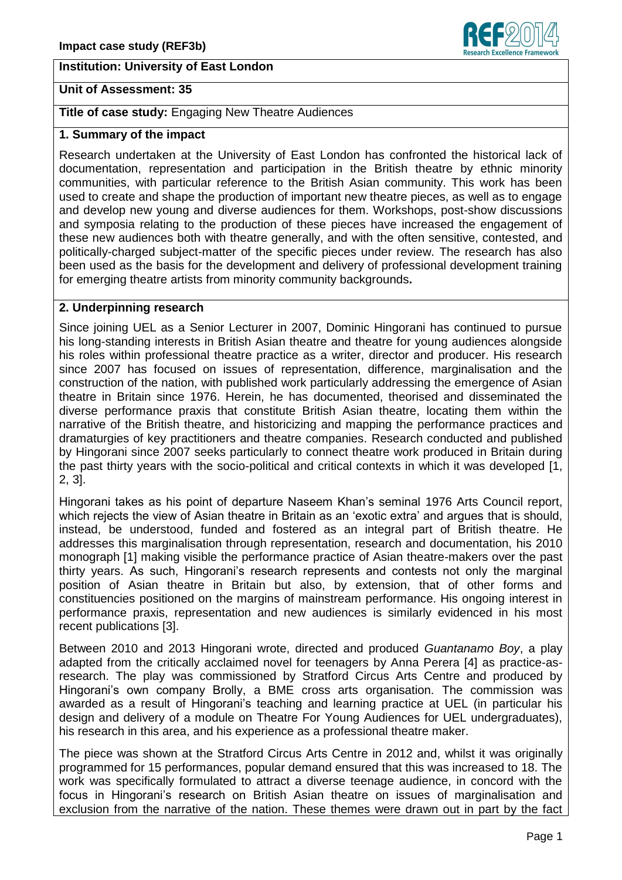## **Institution: University of East London**

### **Unit of Assessment: 35**

**Title of case study:** Engaging New Theatre Audiences

# **1. Summary of the impact**

Research undertaken at the University of East London has confronted the historical lack of documentation, representation and participation in the British theatre by ethnic minority communities, with particular reference to the British Asian community. This work has been used to create and shape the production of important new theatre pieces, as well as to engage and develop new young and diverse audiences for them. Workshops, post-show discussions and symposia relating to the production of these pieces have increased the engagement of these new audiences both with theatre generally, and with the often sensitive, contested, and politically-charged subject-matter of the specific pieces under review. The research has also been used as the basis for the development and delivery of professional development training for emerging theatre artists from minority community backgrounds**.**

### **2. Underpinning research**

Since joining UEL as a Senior Lecturer in 2007, Dominic Hingorani has continued to pursue his long-standing interests in British Asian theatre and theatre for young audiences alongside his roles within professional theatre practice as a writer, director and producer. His research since 2007 has focused on issues of representation, difference, marginalisation and the construction of the nation, with published work particularly addressing the emergence of Asian theatre in Britain since 1976. Herein, he has documented, theorised and disseminated the diverse performance praxis that constitute British Asian theatre, locating them within the narrative of the British theatre, and historicizing and mapping the performance practices and dramaturgies of key practitioners and theatre companies. Research conducted and published by Hingorani since 2007 seeks particularly to connect theatre work produced in Britain during the past thirty years with the socio-political and critical contexts in which it was developed [1, 2, 3].

Hingorani takes as his point of departure Naseem Khan's seminal 1976 Arts Council report, which rejects the view of Asian theatre in Britain as an 'exotic extra' and argues that is should. instead, be understood, funded and fostered as an integral part of British theatre. He addresses this marginalisation through representation, research and documentation, his 2010 monograph [1] making visible the performance practice of Asian theatre-makers over the past thirty years. As such, Hingorani's research represents and contests not only the marginal position of Asian theatre in Britain but also, by extension, that of other forms and constituencies positioned on the margins of mainstream performance. His ongoing interest in performance praxis, representation and new audiences is similarly evidenced in his most recent publications [3].

Between 2010 and 2013 Hingorani wrote, directed and produced *Guantanamo Boy*, a play adapted from the critically acclaimed novel for teenagers by Anna Perera [4] as practice-asresearch. The play was commissioned by Stratford Circus Arts Centre and produced by Hingorani's own company Brolly, a BME cross arts organisation. The commission was awarded as a result of Hingorani's teaching and learning practice at UEL (in particular his design and delivery of a module on Theatre For Young Audiences for UEL undergraduates), his research in this area, and his experience as a professional theatre maker.

The piece was shown at the Stratford Circus Arts Centre in 2012 and, whilst it was originally programmed for 15 performances, popular demand ensured that this was increased to 18. The work was specifically formulated to attract a diverse teenage audience, in concord with the focus in Hingorani's research on British Asian theatre on issues of marginalisation and exclusion from the narrative of the nation. These themes were drawn out in part by the fact

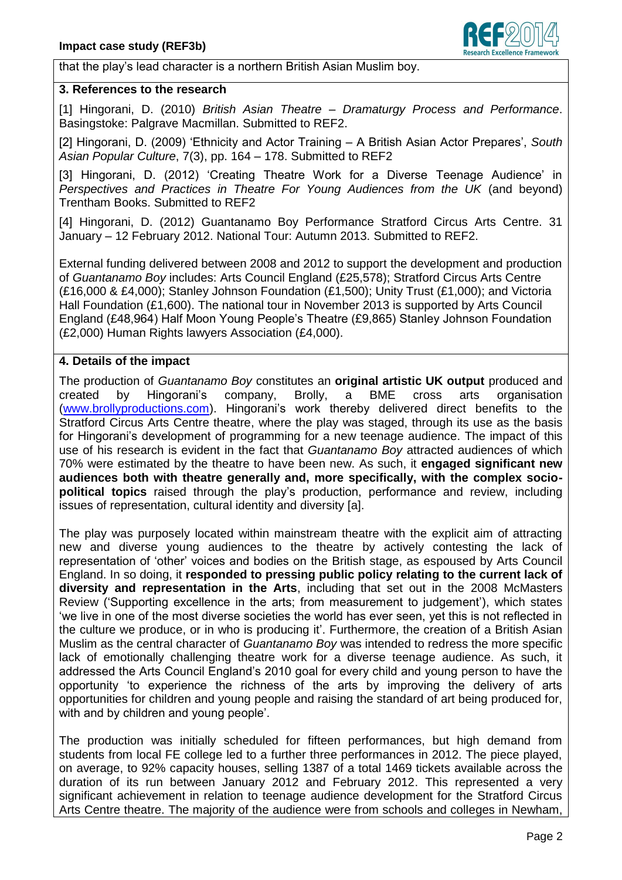

that the play's lead character is a northern British Asian Muslim boy.

#### **3. References to the research**

[1] Hingorani, D. (2010) *British Asian Theatre – Dramaturgy Process and Performance*. Basingstoke: Palgrave Macmillan. Submitted to REF2.

[2] Hingorani, D. (2009) 'Ethnicity and Actor Training – A British Asian Actor Prepares', *South Asian Popular Culture*, 7(3), pp. 164 – 178. Submitted to REF2

[3] Hingorani, D. (2012) 'Creating Theatre Work for a Diverse Teenage Audience' in *Perspectives and Practices in Theatre For Young Audiences from the UK* (and beyond) Trentham Books. Submitted to REF2

[4] Hingorani, D. (2012) Guantanamo Boy Performance Stratford Circus Arts Centre. 31 January – 12 February 2012. National Tour: Autumn 2013. Submitted to REF2.

External funding delivered between 2008 and 2012 to support the development and production of *Guantanamo Boy* includes: Arts Council England (£25,578); Stratford Circus Arts Centre (£16,000 & £4,000); Stanley Johnson Foundation (£1,500); Unity Trust (£1,000); and Victoria Hall Foundation (£1,600). The national tour in November 2013 is supported by Arts Council England (£48,964) Half Moon Young People's Theatre (£9,865) Stanley Johnson Foundation (£2,000) Human Rights lawyers Association (£4,000).

# **4. Details of the impact**

The production of *Guantanamo Boy* constitutes an **original artistic UK output** produced and created by Hingorani's company, Brolly, a BME cross arts organisation [\(www.brollyproductions.com\)](http://www.brollyproductions.com/). Hingorani's work thereby delivered direct benefits to the Stratford Circus Arts Centre theatre, where the play was staged, through its use as the basis for Hingorani's development of programming for a new teenage audience. The impact of this use of his research is evident in the fact that *Guantanamo Boy* attracted audiences of which 70% were estimated by the theatre to have been new. As such, it **engaged significant new audiences both with theatre generally and, more specifically, with the complex sociopolitical topics** raised through the play's production, performance and review, including issues of representation, cultural identity and diversity [a].

The play was purposely located within mainstream theatre with the explicit aim of attracting new and diverse young audiences to the theatre by actively contesting the lack of representation of 'other' voices and bodies on the British stage, as espoused by Arts Council England. In so doing, it **responded to pressing public policy relating to the current lack of diversity and representation in the Arts**, including that set out in the 2008 McMasters Review ('Supporting excellence in the arts; from measurement to judgement'), which states 'we live in one of the most diverse societies the world has ever seen, yet this is not reflected in the culture we produce, or in who is producing it'. Furthermore, the creation of a British Asian Muslim as the central character of *Guantanamo Boy* was intended to redress the more specific lack of emotionally challenging theatre work for a diverse teenage audience. As such, it addressed the Arts Council England's 2010 goal for every child and young person to have the opportunity 'to experience the richness of the arts by improving the delivery of arts opportunities for children and young people and raising the standard of art being produced for, with and by children and young people'.

The production was initially scheduled for fifteen performances, but high demand from students from local FE college led to a further three performances in 2012. The piece played, on average, to 92% capacity houses, selling 1387 of a total 1469 tickets available across the duration of its run between January 2012 and February 2012. This represented a very significant achievement in relation to teenage audience development for the Stratford Circus Arts Centre theatre. The majority of the audience were from schools and colleges in Newham,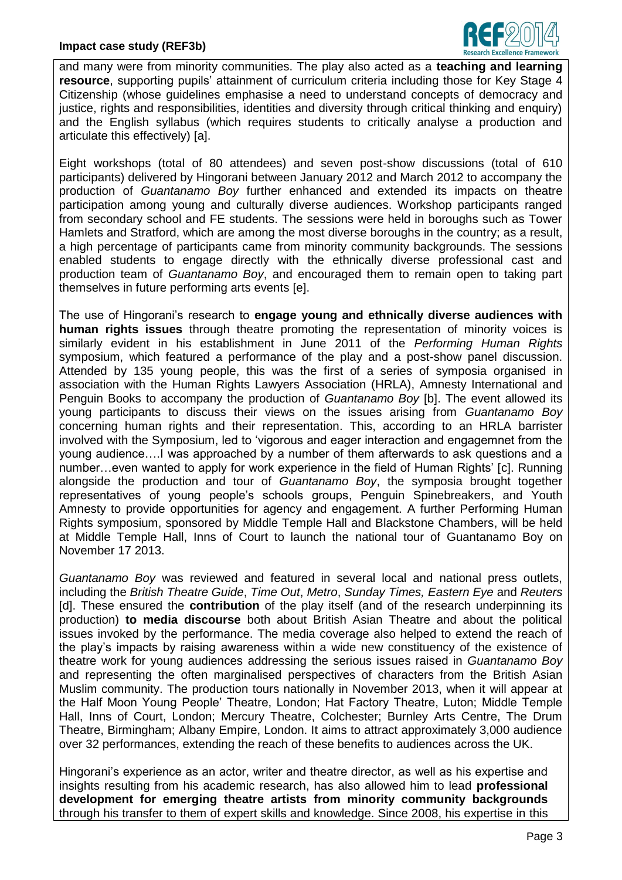

and many were from minority communities. The play also acted as a **teaching and learning resource**, supporting pupils' attainment of curriculum criteria including those for Key Stage 4 Citizenship (whose guidelines emphasise a need to understand concepts of democracy and justice, rights and responsibilities, identities and diversity through critical thinking and enquiry) and the English syllabus (which requires students to critically analyse a production and articulate this effectively) [a].

Eight workshops (total of 80 attendees) and seven post-show discussions (total of 610 participants) delivered by Hingorani between January 2012 and March 2012 to accompany the production of *Guantanamo Boy* further enhanced and extended its impacts on theatre participation among young and culturally diverse audiences. Workshop participants ranged from secondary school and FE students. The sessions were held in boroughs such as Tower Hamlets and Stratford, which are among the most diverse boroughs in the country; as a result, a high percentage of participants came from minority community backgrounds. The sessions enabled students to engage directly with the ethnically diverse professional cast and production team of *Guantanamo Boy*, and encouraged them to remain open to taking part themselves in future performing arts events [e].

The use of Hingorani's research to **engage young and ethnically diverse audiences with human rights issues** through theatre promoting the representation of minority voices is similarly evident in his establishment in June 2011 of the *Performing Human Rights* symposium, which featured a performance of the play and a post-show panel discussion. Attended by 135 young people, this was the first of a series of symposia organised in association with the Human Rights Lawyers Association (HRLA), Amnesty International and Penguin Books to accompany the production of *Guantanamo Boy* [b]. The event allowed its young participants to discuss their views on the issues arising from *Guantanamo Boy* concerning human rights and their representation. This, according to an HRLA barrister involved with the Symposium, led to 'vigorous and eager interaction and engagemnet from the young audience….I was approached by a number of them afterwards to ask questions and a number…even wanted to apply for work experience in the field of Human Rights' [c]. Running alongside the production and tour of *Guantanamo Boy*, the symposia brought together representatives of young people's schools groups, Penguin Spinebreakers, and Youth Amnesty to provide opportunities for agency and engagement. A further Performing Human Rights symposium, sponsored by Middle Temple Hall and Blackstone Chambers, will be held at Middle Temple Hall, Inns of Court to launch the national tour of Guantanamo Boy on November 17 2013.

*Guantanamo Boy* was reviewed and featured in several local and national press outlets, including the *British Theatre Guide*, *Time Out*, *Metro*, *Sunday Times, Eastern Eye* and *Reuters* [d]. These ensured the **contribution** of the play itself (and of the research underpinning its production) **to media discourse** both about British Asian Theatre and about the political issues invoked by the performance. The media coverage also helped to extend the reach of the play's impacts by raising awareness within a wide new constituency of the existence of theatre work for young audiences addressing the serious issues raised in *Guantanamo Boy* and representing the often marginalised perspectives of characters from the British Asian Muslim community. The production tours nationally in November 2013, when it will appear at the Half Moon Young People' Theatre, London; Hat Factory Theatre, Luton; Middle Temple Hall, Inns of Court, London; Mercury Theatre, Colchester; Burnley Arts Centre, The Drum Theatre, Birmingham; Albany Empire, London. It aims to attract approximately 3,000 audience over 32 performances, extending the reach of these benefits to audiences across the UK.

Hingorani's experience as an actor, writer and theatre director, as well as his expertise and insights resulting from his academic research, has also allowed him to lead **professional development for emerging theatre artists from minority community backgrounds** through his transfer to them of expert skills and knowledge. Since 2008, his expertise in this